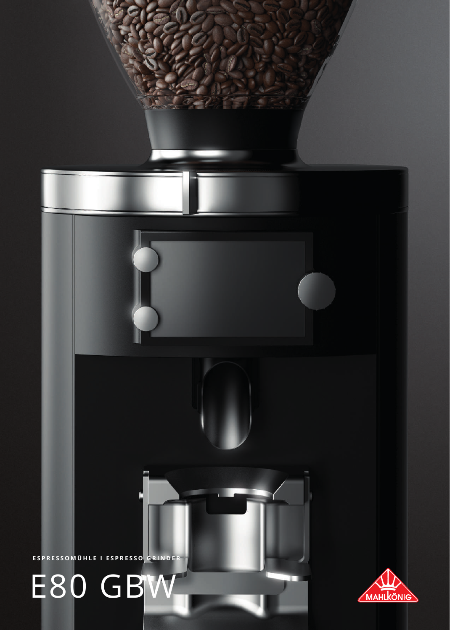# E80 GBW

ESPRESSOMÜHLE I ESPRESSO GRINDER